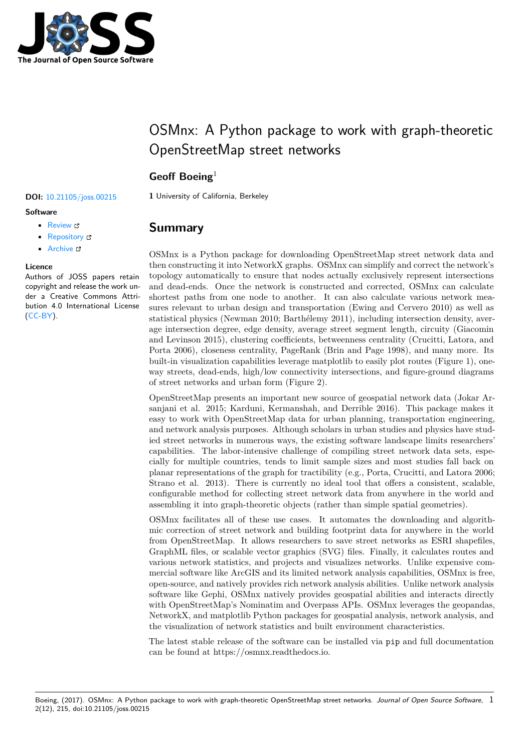

# OSMnx: A Python package to work with graph-theoretic OpenStreetMap street networks

## **Geoff Boeing**<sup>1</sup>

**Software**

- Review &
- [Repository](https://doi.org/10.21105/joss.00215) &
- Archive L'

### **Licence**

Autho[rs of JOSS](https://github.com/gboeing/osmnx/) papers retain copyright and release the work under a [Creativ](http://dx.doi.org/10.5281/zenodo.557105)e Commons Attribution 4.0 International License (CC-BY).

**DOI:** 10.21105/joss.00215 **1** University of California, Berkeley

## **Summary**

OSMnx is a Python package for downloading OpenStreetMap street network data and then constructing it into NetworkX graphs. OSMnx can simplify and correct the network's topology automatically to ensure that nodes actually exclusively represent intersections and dead-ends. Once the network is constructed and corrected, OSMnx can calculate shortest paths from one node to another. It can also calculate various network measures relevant to urban design and transportation (Ewing and Cervero 2010) as well as statistical physics (Newman 2010; Barthélemy 2011), including intersection density, average intersection degree, edge density, average street segment length, circuity (Giacomin and Levinson 2015), clustering coefficients, betweenness centrality (Crucitti, Latora, and Porta 2006), closeness centrality, PageRank (Brin and Page 1998), and many more. Its built-in visualization capabilities leverage matplotlib to easily plot routes (Figure 1), oneway streets, dead-ends, high/low connectivity intersections, and figure-ground diagrams of street networks and urban form (Figure 2).

OpenStreetMap presents an important new source of geospatial network data (Jokar Arsanjani et al. 2015; Karduni, Kermanshah, and Derrible 2016). This package makes it easy to work with OpenStreetMap data for urban planning, transportation engineering, and network analysis purposes. Although scholars in urban studies and physics have studied street networks in numerous ways, the existing software landscape limits researchers' capabilities. The labor-intensive challenge of compiling street network data sets, especially for multiple countries, tends to limit sample sizes and most studies fall back on planar representations of the graph for tractibility (e.g., Porta, Crucitti, and Latora 2006; Strano et al. 2013). There is currently no ideal tool that offers a consistent, scalable, configurable method for collecting street network data from anywhere in the world and assembling it into graph-theoretic objects (rather than simple spatial geometries).

OSMnx facilitates all of these use cases. It automates the downloading and algorithmic correction of street network and building footprint data for anywhere in the world from OpenStreetMap. It allows researchers to save street networks as ESRI shapefiles, GraphML files, or scalable vector graphics (SVG) files. Finally, it calculates routes and various network statistics, and projects and visualizes networks. Unlike expensive commercial software like ArcGIS and its limited network analysis capabilities, OSMnx is free, open-source, and natively provides rich network analysis abilities. Unlike network analysis software like Gephi, OSMnx natively provides geospatial abilities and interacts directly with OpenStreetMap's Nominatim and Overpass APIs. OSMnx leverages the geopandas, NetworkX, and matplotlib Python packages for geospatial analysis, network analysis, and the visualization of network statistics and built environment characteristics.

The latest stable release of the software can be installed via pip and full documentation can be found at https://osmnx.readthedocs.io.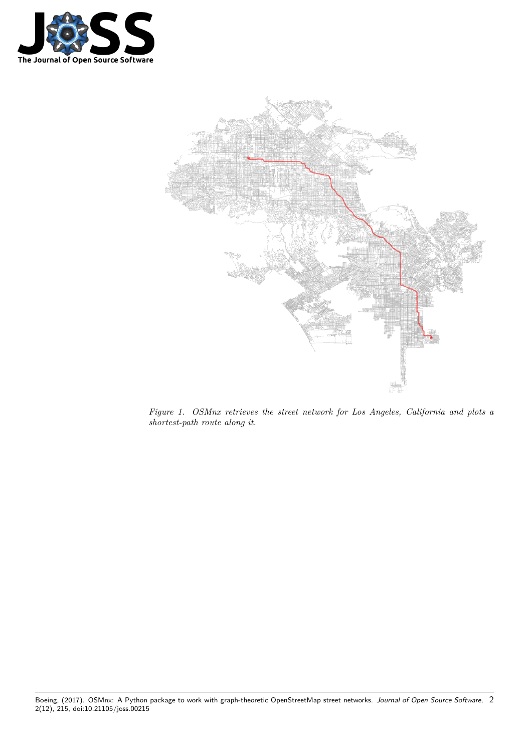



*Figure 1. OSMnx retrieves the street network for Los Angeles, California and plots a shortest-path route along it.*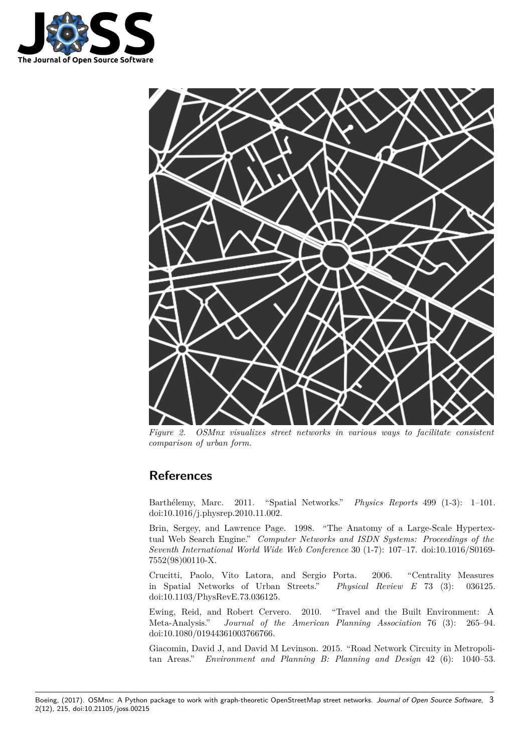



*Figure 2. OSMnx visualizes street networks in various ways to facilitate consistent comparison of urban form.*

## **References**

Barthélemy, Marc. 2011. "Spatial Networks." *Physics Reports* 499 (1-3): 1–101. doi:10.1016/j.physrep.2010.11.002.

Brin, Sergey, and Lawrence Page. 1998. "The Anatomy of a Large-Scale Hypertextual Web Search Engine." *Computer Networks and ISDN Systems: Proceedings of the Sev[enth International World Wide](https://doi.org/10.1016/j.physrep.2010.11.002) Web Conference* 30 (1-7): 107–17. doi:10.1016/S0169- 7552(98)00110-X.

Crucitti, Paolo, Vito Latora, and Sergio Porta. 2006. "Centrality Measures in Spatial Networks of Urban Streets." *Physical Review E* 73 [\(3\): 036125.](https://doi.org/10.1016/S0169-7552(98)00110-X) [doi:10.1103/Phys](https://doi.org/10.1016/S0169-7552(98)00110-X)RevE.73.036125.

Ewing, Reid, and Robert Cervero. 2010. "Travel and the Built Environment: A Meta-Analysis." *Journal of the American Planning Association* 76 (3): 265–94. doi:[10.1080/01944361003766766.](https://doi.org/10.1103/PhysRevE.73.036125)

Giacomin, David J, and David M Levinson. 2015. "Road Network Circuity in Metropolitan Areas." *Environment and Planning B: Planning and Design* 42 (6): 1040–53.